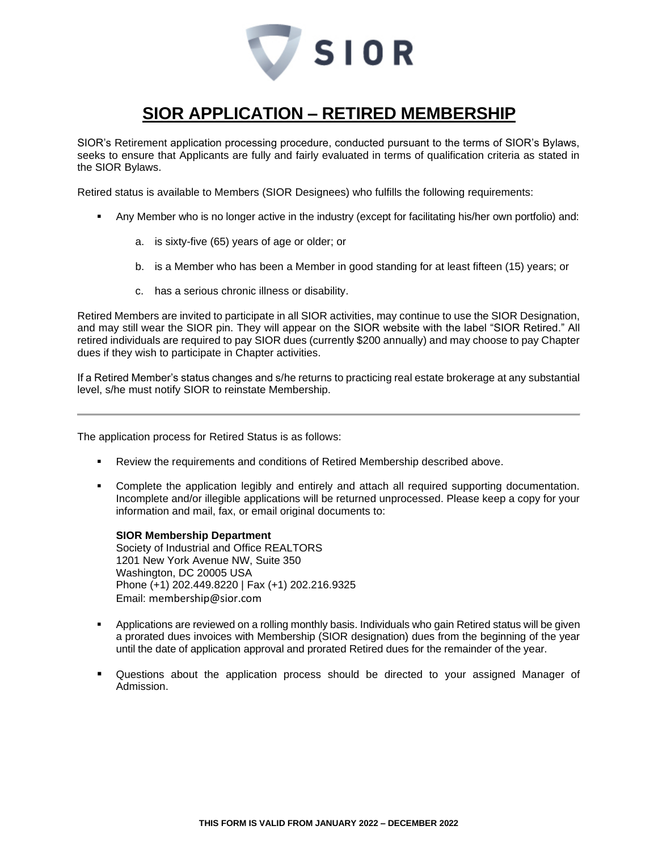

## **SIOR APPLICATION – RETIRED MEMBERSHIP**

SIOR's Retirement application processing procedure, conducted pursuant to the terms of SIOR's Bylaws, seeks to ensure that Applicants are fully and fairly evaluated in terms of qualification criteria as stated in the SIOR Bylaws.

Retired status is available to Members (SIOR Designees) who fulfills the following requirements:

- Any Member who is no longer active in the industry (except for facilitating his/her own portfolio) and:
	- a. is sixty-five (65) years of age or older; or
	- b. is a Member who has been a Member in good standing for at least fifteen (15) years; or
	- c. has a serious chronic illness or disability.

Retired Members are invited to participate in all SIOR activities, may continue to use the SIOR Designation, and may still wear the SIOR pin. They will appear on the SIOR website with the label "SIOR Retired." All retired individuals are required to pay SIOR dues (currently \$200 annually) and may choose to pay Chapter dues if they wish to participate in Chapter activities.

If a Retired Member's status changes and s/he returns to practicing real estate brokerage at any substantial level, s/he must notify SIOR to reinstate Membership.

The application process for Retired Status is as follows:

- **Review the requirements and conditions of Retired Membership described above.**
- Complete the application legibly and entirely and attach all required supporting documentation. Incomplete and/or illegible applications will be returned unprocessed. Please keep a copy for your information and mail, fax, or email original documents to:

**SIOR Membership Department** Society of Industrial and Office REALTORS 1201 New York Avenue NW, Suite 350 Washington, DC 20005 USA Phone (+1) 202.449.8220 | Fax (+1) 202.216.9325 Email: membership@sior.com

- Applications are reviewed on a rolling monthly basis. Individuals who gain Retired status will be given a prorated dues invoices with Membership (SIOR designation) dues from the beginning of the year until the date of application approval and prorated Retired dues for the remainder of the year.
- Questions about the application process should be directed to your assigned Manager of Admission.